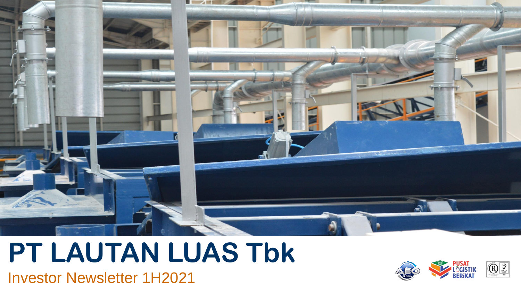

## **PT LAUTAN LUAS Tbk**

Investor Newsletter 1H2021

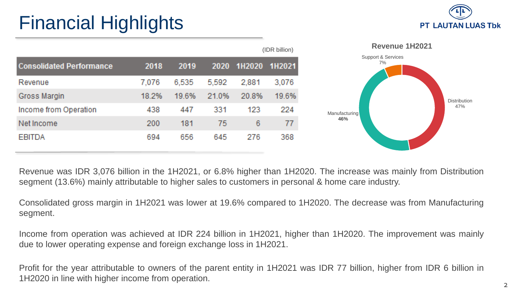## Financial Highlights



**Distribution** 47%

|                                 |       |       |       |                    | (IDR billion) |
|---------------------------------|-------|-------|-------|--------------------|---------------|
| <b>Consolidated Performance</b> | 2018  | 2019  |       | 2020 1H2020 1H2021 |               |
| Revenue                         | 7.076 | 6,535 | 5,592 | 2,881              | 3,076         |
| Gross Margin                    | 18.2% | 19.6% | 21.0% | 20.8%              | 19.6%         |
| Income from Operation           | 438   | 447   | 331   | 123                | 224           |
| Net Income                      | 200   | 181   | 75    | 6                  | 77            |
| <b>EBITDA</b>                   | 694   | 656   | 645   | 276                | 368           |

Revenue was IDR 3,076 billion in the 1H2021, or 6.8% higher than 1H2020. The increase was mainly from Distribution segment (13.6%) mainly attributable to higher sales to customers in personal & home care industry.

Consolidated gross margin in 1H2021 was lower at 19.6% compared to 1H2020. The decrease was from Manufacturing segment.

Income from operation was achieved at IDR 224 billion in 1H2021, higher than 1H2020. The improvement was mainly due to lower operating expense and foreign exchange loss in 1H2021.

Profit for the year attributable to owners of the parent entity in 1H2021 was IDR 77 billion, higher from IDR 6 billion in 1H2020 in line with higher income from operation.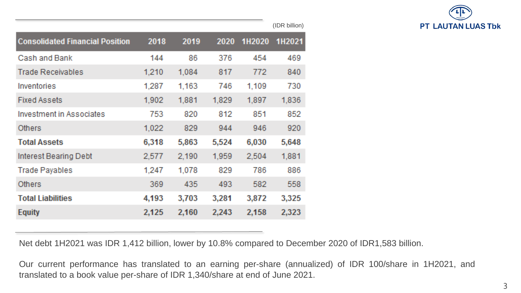

| 2018  | 2019  | 2020  | 1H2020 | 1H2021 |
|-------|-------|-------|--------|--------|
| 144   | 86    | 376   | 454    | 469    |
| 1,210 | 1,084 | 817   | 772    | 840    |
| 1,287 | 1,163 | 746   | 1,109  | 730    |
| 1,902 | 1,881 | 1,829 | 1,897  | 1,836  |
| 753   | 820   | 812   | 851    | 852    |
| 1,022 | 829   | 944   | 946    | 920    |
| 6,318 | 5,863 | 5,524 | 6,030  | 5,648  |
| 2,577 | 2,190 | 1,959 | 2,504  | 1,881  |
| 1,247 | 1,078 | 829   | 786    | 886    |
| 369   | 435   | 493   | 582    | 558    |
| 4,193 | 3,703 | 3,281 | 3,872  | 3,325  |
| 2,125 | 2,160 | 2,243 | 2,158  | 2,323  |
|       |       |       |        |        |

(IDR billion)

Net debt 1H2021 was IDR 1,412 billion, lower by 10.8% compared to December 2020 of IDR1,583 billion.

Our current performance has translated to an earning per-share (annualized) of IDR 100/share in 1H2021, and translated to a book value per-share of IDR 1,340/share at end of June 2021.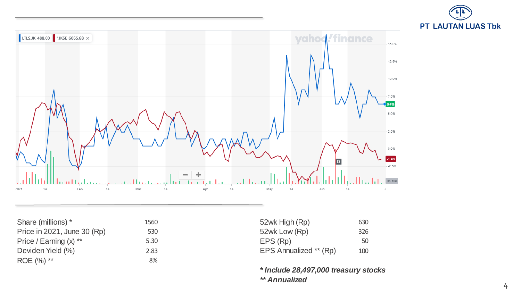



Share (millions) \* 1560 Price in 2021, June 30 (Rp) 530 Price / Earning  $(x)$   $**$  5.30 Deviden Yield (%) 2.83 ROE (%) \*\* 8%

| 52wk High (Rp)         | 630 |
|------------------------|-----|
| 52wk Low (Rp)          | 326 |
| EPS (Rp)               | 50  |
| EPS Annualized ** (Rp) | 100 |

*\* Include 28,497,000 treasury stocks \*\* Annualized*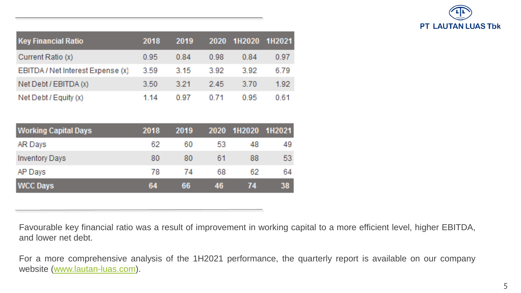

| <b>Key Financial Ratio</b>        | 2018 | 2019    | 2020   | 1H2020 | 1H2021 |
|-----------------------------------|------|---------|--------|--------|--------|
| Current Ratio (x)                 | 0.95 | 0.84    | 0.98   | 0.84   | 0.97   |
| EBITDA / Net Interest Expense (x) | 3.59 | 3.15    | -3.92  | -3.92  | 6.79   |
| Net Debt / EBITDA (x)             | 3.50 | $-3.21$ | $-245$ | 3.70   | 1.92   |
| Net Debt / Equity (x)             | 1 14 | 0.97    | 071    | 0.95   | 0.61   |

| <b>Working Capital Days</b> | 2018 | 2019 | 2020 | 1H2020 | 1H2021 |
|-----------------------------|------|------|------|--------|--------|
| AR Days                     | 62   | 60   | 53   | 48     | 49     |
| <b>Inventory Days</b>       | 80   | 80   | 61   | 88     | 53     |
| AP Days                     | 78   | 74   | 68   | 62     | 64     |
| <b>WCC Days</b>             | 64   | 66   | 46   | 74     | 38     |

Favourable key financial ratio was a result of improvement in working capital to a more efficient level, higher EBITDA, and lower net debt.

For a more comprehensive analysis of the 1H2021 performance, the quarterly report is available on our company website [\(www.lautan-luas.com\)](http://www.lautan-luas.com/).